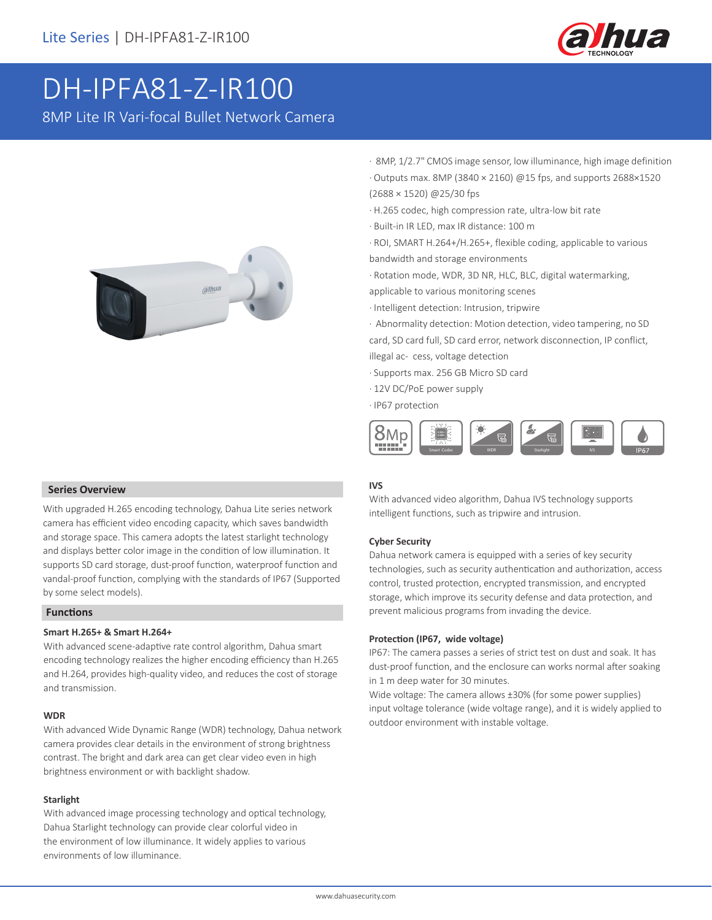

# DH-IPFA81-Z-IR100 8MP Lite IR Vari-focal Bullet Network Camera



### **Series Overview**

With upgraded H.265 encoding technology, Dahua Lite series network camera has efficient video encoding capacity, which saves bandwidth and storage space. This camera adopts the latest starlight technology and displays better color image in the condition of low illumination. It supports SD card storage, dust-proof function, waterproof function and vandal-proof function, complying with the standards of IP67 (Supported by some select models).

## **Functions**

### **Smart H.265+ & Smart H.264+**

With advanced scene-adaptive rate control algorithm, Dahua smart encoding technology realizes the higher encoding efficiency than H.265 and H.264, provides high-quality video, and reduces the cost of storage and transmission.

#### **WDR**

With advanced Wide Dynamic Range (WDR) technology, Dahua network camera provides clear details in the environment of strong brightness contrast. The bright and dark area can get clear video even in high brightness environment or with backlight shadow.

### **Starlight**

With advanced image processing technology and optical technology, Dahua Starlight technology can provide clear colorful video in the environment of low illuminance. It widely applies to various environments of low illuminance.

- · 8MP, 1/2.7" CMOS image sensor, low illuminance, high image definition · Outputs max. 8MP (3840 × 2160) @15 fps, and supports 2688×1520 (2688 × 1520) @25/30 fps
- · H.265 codec, high compression rate, ultra-low bit rate
- · Built-in IR LED, max IR distance: 100 m
- · ROI, SMART H.264+/H.265+, flexible coding, applicable to various bandwidth and storage environments
- · Rotation mode, WDR, 3D NR, HLC, BLC, digital watermarking,
- applicable to various monitoring scenes
- · Intelligent detection: Intrusion, tripwire
- · Abnormality detection: Motion detection, video tampering, no SD card, SD card full, SD card error, network disconnection, IP conflict,
- illegal ac- cess, voltage detection
- · Supports max. 256 GB Micro SD card
- · 12V DC/PoE power supply
- · IP67 protection



### **IVS**

With advanced video algorithm, Dahua IVS technology supports intelligent functions, such as tripwire and intrusion.

### **Cyber Security**

Dahua network camera is equipped with a series of key security technologies, such as security authentication and authorization, access control, trusted protection, encrypted transmission, and encrypted storage, which improve its security defense and data protection, and prevent malicious programs from invading the device.

### **Protection (IP67, wide voltage)**

IP67: The camera passes a series of strict test on dust and soak. It has dust-proof function, and the enclosure can works normal after soaking in 1 m deep water for 30 minutes.

Wide voltage: The camera allows ±30% (for some power supplies) input voltage tolerance (wide voltage range), and it is widely applied to outdoor environment with instable voltage.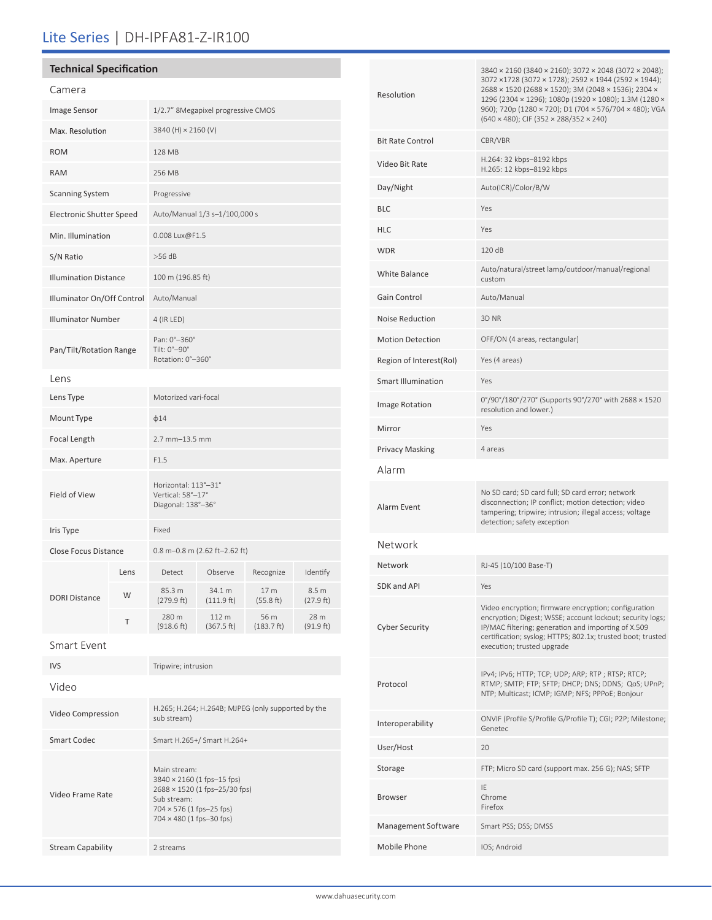# Lite Series | DH-IPFA81-Z-IR100

# **Technical Specification**

| Camera                          |      |                                                                   |                      |                    |                    |
|---------------------------------|------|-------------------------------------------------------------------|----------------------|--------------------|--------------------|
| Image Sensor                    |      | 1/2.7" 8Megapixel progressive CMOS                                |                      |                    |                    |
| Max. Resolution                 |      | 3840 (H) × 2160 (V)                                               |                      |                    |                    |
| <b>ROM</b>                      |      | 128 MB                                                            |                      |                    |                    |
| <b>RAM</b>                      |      | 256 MB                                                            |                      |                    |                    |
| <b>Scanning System</b>          |      | Progressive                                                       |                      |                    |                    |
| <b>Electronic Shutter Speed</b> |      | Auto/Manual 1/3 s-1/100,000 s                                     |                      |                    |                    |
| Min. Illumination               |      | 0.008 Lux@F1.5                                                    |                      |                    |                    |
| S/N Ratio                       |      | $>56$ dB                                                          |                      |                    |                    |
| <b>Illumination Distance</b>    |      | 100 m (196.85 ft)                                                 |                      |                    |                    |
| Illuminator On/Off Control      |      | Auto/Manual                                                       |                      |                    |                    |
| <b>Illuminator Number</b>       |      | 4 (IR LED)                                                        |                      |                    |                    |
| Pan/Tilt/Rotation Range         |      | Pan: 0°-360°<br>Tilt: 0°-90°<br>Rotation: 0°-360°                 |                      |                    |                    |
| Lens                            |      |                                                                   |                      |                    |                    |
| Lens Type                       |      | Motorized vari-focal                                              |                      |                    |                    |
| Mount Type                      |      | $\phi$ 14                                                         |                      |                    |                    |
| Focal Length                    |      | 2.7 mm-13.5 mm                                                    |                      |                    |                    |
| Max. Aperture                   |      | F1.5                                                              |                      |                    |                    |
| Field of View                   |      | Horizontal: 113°-31°<br>Vertical: 58°-17°<br>Diagonal: 138°-36°   |                      |                    |                    |
| Iris Type                       |      | Fixed                                                             |                      |                    |                    |
| Close Focus Distance            |      | 0.8 m-0.8 m (2.62 ft-2.62 ft)                                     |                      |                    |                    |
|                                 | Lens | Detect                                                            | Observe              | Recognize          | Identify           |
| <b>DORI Distance</b>            | W    | 85.3 m<br>(279.9 ft)                                              | 34.1 m<br>(111.9 ft) | 17 m<br>(55.8 ft)  | 8.5 m<br>(27.9 ft) |
|                                 | Τ    | 280 m<br>(918.6 ft)                                               | 112 m<br>(367.5 ft)  | 56 m<br>(183.7 ft) | 28 m<br>(91.9 ft)  |
| Smart Event                     |      |                                                                   |                      |                    |                    |
| <b>IVS</b>                      |      | Tripwire; intrusion                                               |                      |                    |                    |
| Video                           |      |                                                                   |                      |                    |                    |
| Video Compression               |      | H.265; H.264; H.264B; MJPEG (only supported by the<br>sub stream) |                      |                    |                    |

Smart Codec Smart H.265+/ Smart H.264+

Main stream:

Sub stream: 704 × 576 (1 fps–25 fps) 704 × 480 (1 fps–30 fps)

3840 × 2160 (1 fps–15 fps) 2688 × 1520 (1 fps–25/30 fps)

Video Frame Rate

Stream Capability 2 streams

| Resolution              | 3840 × 2160 (3840 × 2160); 3072 × 2048 (3072 × 2048);<br>3072 ×1728 (3072 × 1728); 2592 × 1944 (2592 × 1944);<br>2688 × 1520 (2688 × 1520); 3M (2048 × 1536); 2304 ×<br>1296 (2304 × 1296); 1080p (1920 × 1080); 1.3M (1280 ×<br>960); 720p (1280 × 720); D1 (704 × 576/704 × 480); VGA<br>$(640 \times 480)$ ; CIF $(352 \times 288/352 \times 240)$ |  |  |
|-------------------------|-------------------------------------------------------------------------------------------------------------------------------------------------------------------------------------------------------------------------------------------------------------------------------------------------------------------------------------------------------|--|--|
| <b>Bit Rate Control</b> | CBR/VBR                                                                                                                                                                                                                                                                                                                                               |  |  |
| Video Bit Rate          | H.264: 32 kbps-8192 kbps<br>H.265: 12 kbps-8192 kbps                                                                                                                                                                                                                                                                                                  |  |  |
| Day/Night               | Auto(ICR)/Color/B/W                                                                                                                                                                                                                                                                                                                                   |  |  |
| BLC                     | Yes                                                                                                                                                                                                                                                                                                                                                   |  |  |
| HLC                     | Yes                                                                                                                                                                                                                                                                                                                                                   |  |  |
| WDR                     | 120 dB                                                                                                                                                                                                                                                                                                                                                |  |  |
| White Balance           | Auto/natural/street lamp/outdoor/manual/regional<br>custom                                                                                                                                                                                                                                                                                            |  |  |
| Gain Control            | Auto/Manual                                                                                                                                                                                                                                                                                                                                           |  |  |
| Noise Reduction         | 3D <sub>NR</sub>                                                                                                                                                                                                                                                                                                                                      |  |  |
| <b>Motion Detection</b> | OFF/ON (4 areas, rectangular)                                                                                                                                                                                                                                                                                                                         |  |  |
| Region of Interest(RoI) | Yes (4 areas)                                                                                                                                                                                                                                                                                                                                         |  |  |
| Smart Illumination      | Yes                                                                                                                                                                                                                                                                                                                                                   |  |  |
| Image Rotation          | 0°/90°/180°/270° (Supports 90°/270° with 2688 × 1520<br>resolution and lower.)                                                                                                                                                                                                                                                                        |  |  |
| Mirror                  | Yes                                                                                                                                                                                                                                                                                                                                                   |  |  |
| Privacy Masking         | 4 areas                                                                                                                                                                                                                                                                                                                                               |  |  |
| Alarm                   |                                                                                                                                                                                                                                                                                                                                                       |  |  |
| Alarm Event             | No SD card; SD card full; SD card error; network<br>disconnection; IP conflict; motion detection; video<br>tampering; tripwire; intrusion; illegal access; voltage<br>detection; safety exception                                                                                                                                                     |  |  |
| Network                 |                                                                                                                                                                                                                                                                                                                                                       |  |  |
| Network                 | RJ-45 (10/100 Base-T)                                                                                                                                                                                                                                                                                                                                 |  |  |
| SDK and API             | Yes                                                                                                                                                                                                                                                                                                                                                   |  |  |
| Cyber Security          | Video encryption; firmware encryption; configuration<br>encryption; Digest; WSSE; account lockout; security logs;<br>IP/MAC filtering; generation and importing of X.509<br>certification; syslog; HTTPS; 802.1x; trusted boot; trusted<br>execution; trusted upgrade                                                                                 |  |  |
| Protocol                | IPv4; IPv6; HTTP; TCP; UDP; ARP; RTP; RTSP; RTCP;<br>RTMP; SMTP; FTP; SFTP; DHCP; DNS; DDNS; QoS; UPnP;<br>NTP; Multicast; ICMP; IGMP; NFS; PPPoE; Bonjour                                                                                                                                                                                            |  |  |
| Interoperability        | ONVIF (Profile S/Profile G/Profile T); CGI; P2P; Milestone;<br>Genetec                                                                                                                                                                                                                                                                                |  |  |
| User/Host               | 20                                                                                                                                                                                                                                                                                                                                                    |  |  |
| Storage                 | FTP; Micro SD card (support max. 256 G); NAS; SFTP                                                                                                                                                                                                                                                                                                    |  |  |
| Browser                 | IE<br>Chrome<br>Firefox                                                                                                                                                                                                                                                                                                                               |  |  |
| Management Software     | Smart PSS; DSS; DMSS                                                                                                                                                                                                                                                                                                                                  |  |  |
| Mobile Phone            | IOS; Android                                                                                                                                                                                                                                                                                                                                          |  |  |
|                         |                                                                                                                                                                                                                                                                                                                                                       |  |  |